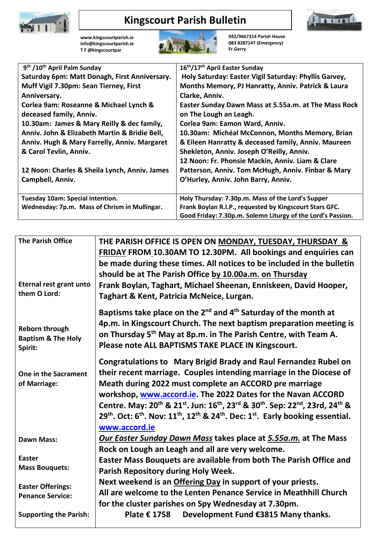

# **Kingscourt Parish Bulletin**



**[www.kingscourtparish.ie](http://www.kingscourtparish.ie/) info@kingscourtparish.ie T F @kingscourtpar** 



**042/9667314 Parish House 083 8287147 (Emergency) Fr.Gerry**

| 9 <sup>th</sup> /10 <sup>th</sup> April Palm Sunday | 16th/17th April Easter Sunday                               |
|-----------------------------------------------------|-------------------------------------------------------------|
| Saturday 6pm: Matt Donagh, First Anniversary.       | Holy Saturday: Easter Vigil Saturday: Phyllis Garvey,       |
| Muff Vigil 7.30pm: Sean Tierney, First              | Months Memory, PJ Hanratty, Anniv. Patrick & Laura          |
| Anniversary.                                        | Clarke, Anniv.                                              |
| Corlea 9am: Roseanne & Michael Lynch &              | Easter Sunday Dawn Mass at 5.55a.m. at The Mass Rock        |
| deceased family, Anniv.                             | on The Lough an Leagh.                                      |
| 10.30am: James & Mary Reilly & dec family,          | Corlea 9am: Eamon Ward, Anniv.                              |
| Anniv. John & Elizabeth Martin & Bridie Bell,       | 10.30am: Michéal McConnon, Months Memory, Brian             |
| Anniv. Hugh & Mary Farrelly, Anniv. Margaret        | & Eileen Hanratty & deceased family, Anniv. Maureen         |
| & Carol Tevlin, Anniv.                              | Shekleton, Anniv. Joseph O'Reilly, Anniv.                   |
|                                                     | 12 Noon: Fr. Phonsie Mackin, Anniv. Liam & Clare            |
| 12 Noon: Charles & Sheila Lynch, Anniv. James       | Patterson, Anniv. Tom McHugh, Anniv. Finbar & Mary          |
| Campbell, Anniv.                                    | O'Hurley, Anniv. John Barry, Anniv.                         |
|                                                     |                                                             |
| Tuesday 10am: Special intention.                    | Holy Thursday: 7.30p.m. Mass of the Lord's Supper           |
| Wednesday: 7p.m. Mass of Chrism in Mullingar.       | Frank Boylan R.I.P., requested by Kingscourt Stars GFC.     |
|                                                     | Good Friday: 7.30p.m. Solemn Liturgy of the Lord's Passion. |
|                                                     |                                                             |

| <b>The Parish Office</b>                                          | THE PARISH OFFICE IS OPEN ON MONDAY, TUESDAY, THURSDAY &<br>FRIDAY FROM 10.30AM TO 12.30PM. All bookings and enquiries can<br>be made during these times. All notices to be included in the bulletin<br>should be at The Parish Office by 10.00a.m. on Thursday                                                                                                                                                                                                                                                                                                                        |  |
|-------------------------------------------------------------------|----------------------------------------------------------------------------------------------------------------------------------------------------------------------------------------------------------------------------------------------------------------------------------------------------------------------------------------------------------------------------------------------------------------------------------------------------------------------------------------------------------------------------------------------------------------------------------------|--|
| Eternal rest grant unto<br>them O Lord:                           | Frank Boylan, Taghart, Michael Sheenan, Enniskeen, David Hooper,<br>Taghart & Kent, Patricia McNeice, Lurgan.                                                                                                                                                                                                                                                                                                                                                                                                                                                                          |  |
| <b>Reborn through</b><br><b>Baptism &amp; The Holy</b><br>Spirit: | Baptisms take place on the $2^{nd}$ and $4^{th}$ Saturday of the month at<br>4p.m. in Kingscourt Church. The next baptism preparation meeting is<br>on Thursday 5 <sup>th</sup> May at 8p.m. in The Parish Centre, with Team A.<br>Please note ALL BAPTISMS TAKE PLACE IN Kingscourt.                                                                                                                                                                                                                                                                                                  |  |
| One in the Sacrament<br>of Marriage:                              | <b>Congratulations to Mary Brigid Brady and Raul Fernandez Rubel on</b><br>their recent marriage. Couples intending marriage in the Diocese of<br>Meath during 2022 must complete an ACCORD pre marriage<br>workshop, www.accord.ie. The 2022 Dates for the Navan ACCORD<br>Centre. May: 20 <sup>th</sup> & 21 <sup>st</sup> . Jun: 16 <sup>th</sup> , 23 <sup>rd</sup> & 30 <sup>th</sup> . Sep: 22 <sup>nd</sup> , 23rd, 24 <sup>th</sup> &<br>29 <sup>th</sup> . Oct: $6^{th}$ . Nov: $11^{th}$ , $12^{th}$ & $24^{th}$ . Dec: $1^{st}$ . Early booking essential.<br>www.accord.ie |  |
| <b>Dawn Mass:</b>                                                 | <b>Our Easter Sunday Dawn Mass takes place at 5.55a.m.</b> at The Mass<br>Rock on Lough an Leagh and all are very welcome.                                                                                                                                                                                                                                                                                                                                                                                                                                                             |  |
| <b>Easter</b>                                                     | Easter Mass Bouquets are available from both The Parish Office and                                                                                                                                                                                                                                                                                                                                                                                                                                                                                                                     |  |
| <b>Mass Bouquets:</b>                                             | Parish Repository during Holy Week.                                                                                                                                                                                                                                                                                                                                                                                                                                                                                                                                                    |  |
| <b>Easter Offerings:</b><br><b>Penance Service:</b>               | Next weekend is an Offering Day in support of your priests.<br>All are welcome to the Lenten Penance Service in Meathhill Church<br>for the cluster parishes on Spy Wednesday at 7.30pm.                                                                                                                                                                                                                                                                                                                                                                                               |  |
| <b>Supporting the Parish:</b>                                     | Development Fund €3815 Many thanks.<br>Plate € 1758                                                                                                                                                                                                                                                                                                                                                                                                                                                                                                                                    |  |
|                                                                   |                                                                                                                                                                                                                                                                                                                                                                                                                                                                                                                                                                                        |  |